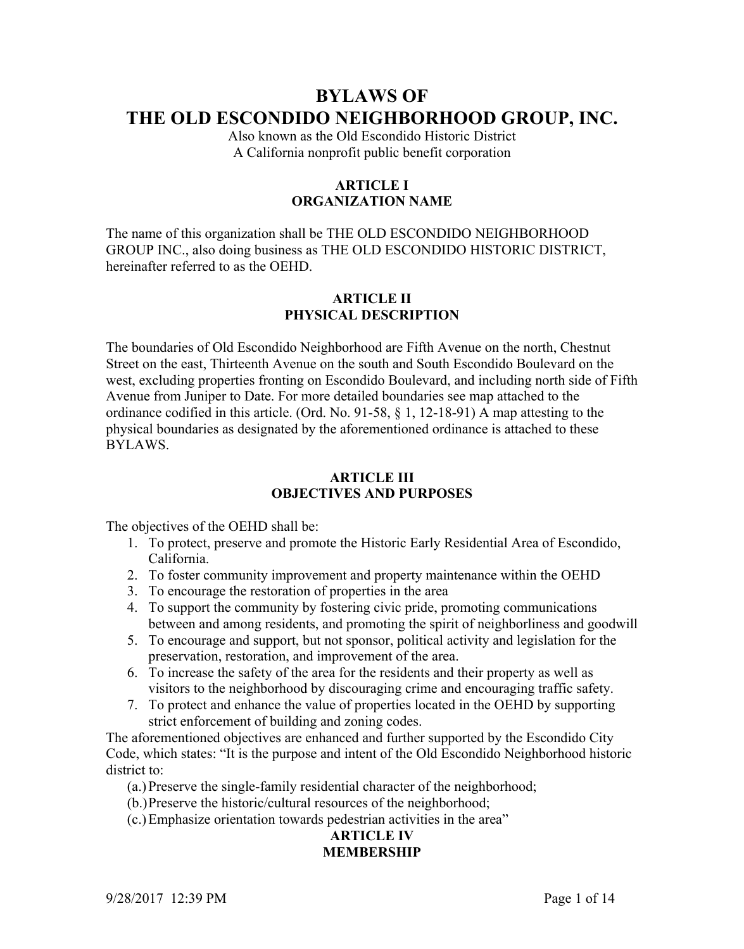# **BYLAWS OF THE OLD ESCONDIDO NEIGHBORHOOD GROUP, INC.**

Also known as the Old Escondido Historic District A California nonprofit public benefit corporation

# **ARTICLE I ORGANIZATION NAME**

The name of this organization shall be THE OLD ESCONDIDO NEIGHBORHOOD GROUP INC., also doing business as THE OLD ESCONDIDO HISTORIC DISTRICT, hereinafter referred to as the OEHD.

#### **ARTICLE II PHYSICAL DESCRIPTION**

The boundaries of Old Escondido Neighborhood are Fifth Avenue on the north, Chestnut Street on the east, Thirteenth Avenue on the south and South Escondido Boulevard on the west, excluding properties fronting on Escondido Boulevard, and including north side of Fifth Avenue from Juniper to Date. For more detailed boundaries see map attached to the ordinance codified in this article. (Ord. No. 91-58, § 1, 12-18-91) A map attesting to the physical boundaries as designated by the aforementioned ordinance is attached to these BYLAWS.

#### **ARTICLE III OBJECTIVES AND PURPOSES**

The objectives of the OEHD shall be:

- 1. To protect, preserve and promote the Historic Early Residential Area of Escondido, California.
- 2. To foster community improvement and property maintenance within the OEHD
- 3. To encourage the restoration of properties in the area
- 4. To support the community by fostering civic pride, promoting communications between and among residents, and promoting the spirit of neighborliness and goodwill
- 5. To encourage and support, but not sponsor, political activity and legislation for the preservation, restoration, and improvement of the area.
- 6. To increase the safety of the area for the residents and their property as well as visitors to the neighborhood by discouraging crime and encouraging traffic safety.
- 7. To protect and enhance the value of properties located in the OEHD by supporting strict enforcement of building and zoning codes.

The aforementioned objectives are enhanced and further supported by the Escondido City Code, which states: "It is the purpose and intent of the Old Escondido Neighborhood historic district to:

(a.) Preserve the single-family residential character of the neighborhood;

- (b.)Preserve the historic/cultural resources of the neighborhood;
- (c.)Emphasize orientation towards pedestrian activities in the area"

## **ARTICLE IV MEMBERSHIP**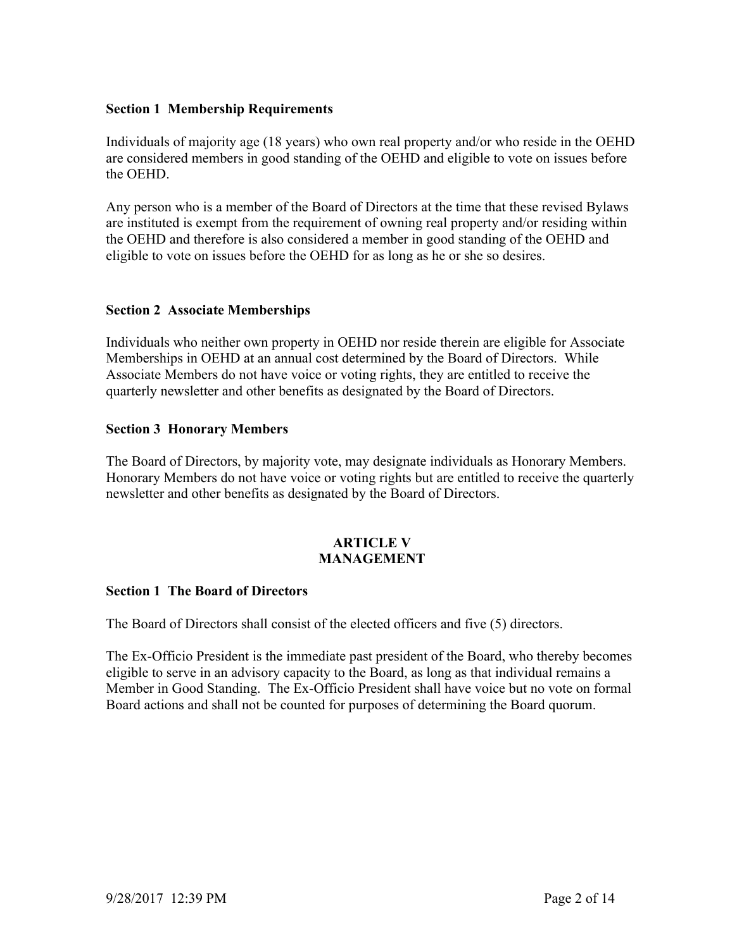#### **Section 1 Membership Requirements**

Individuals of majority age (18 years) who own real property and/or who reside in the OEHD are considered members in good standing of the OEHD and eligible to vote on issues before the OEHD.

Any person who is a member of the Board of Directors at the time that these revised Bylaws are instituted is exempt from the requirement of owning real property and/or residing within the OEHD and therefore is also considered a member in good standing of the OEHD and eligible to vote on issues before the OEHD for as long as he or she so desires.

#### **Section 2 Associate Memberships**

Individuals who neither own property in OEHD nor reside therein are eligible for Associate Memberships in OEHD at an annual cost determined by the Board of Directors. While Associate Members do not have voice or voting rights, they are entitled to receive the quarterly newsletter and other benefits as designated by the Board of Directors.

#### **Section 3 Honorary Members**

The Board of Directors, by majority vote, may designate individuals as Honorary Members. Honorary Members do not have voice or voting rights but are entitled to receive the quarterly newsletter and other benefits as designated by the Board of Directors.

#### **ARTICLE V MANAGEMENT**

#### **Section 1 The Board of Directors**

The Board of Directors shall consist of the elected officers and five (5) directors.

The Ex-Officio President is the immediate past president of the Board, who thereby becomes eligible to serve in an advisory capacity to the Board, as long as that individual remains a Member in Good Standing. The Ex-Officio President shall have voice but no vote on formal Board actions and shall not be counted for purposes of determining the Board quorum.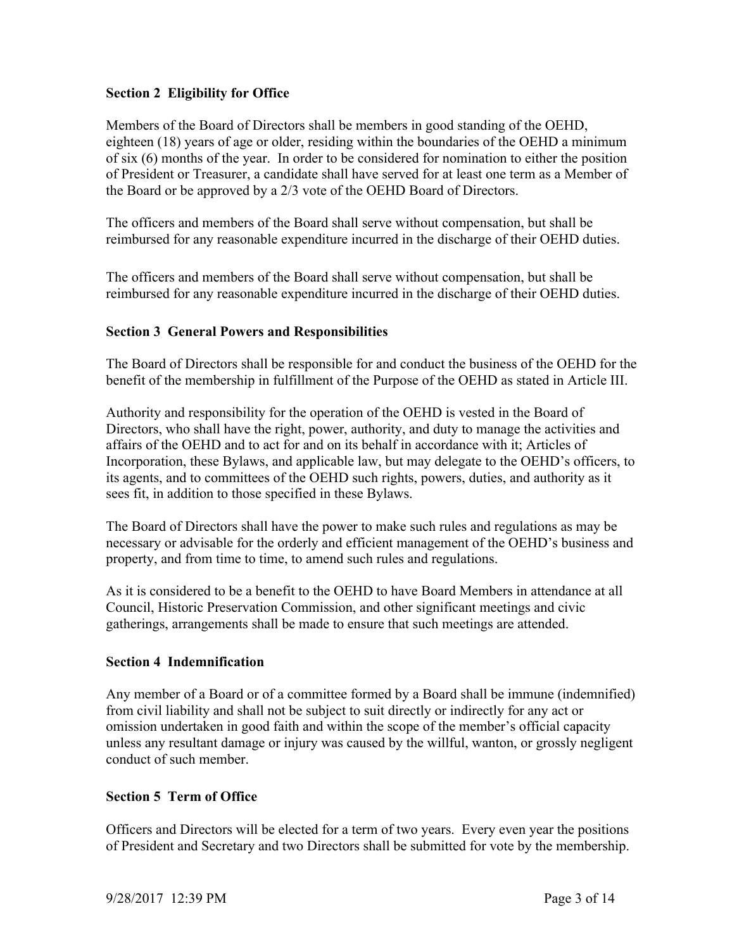## **Section 2 Eligibility for Office**

Members of the Board of Directors shall be members in good standing of the OEHD, eighteen (18) years of age or older, residing within the boundaries of the OEHD a minimum of six (6) months of the year. In order to be considered for nomination to either the position of President or Treasurer, a candidate shall have served for at least one term as a Member of the Board or be approved by a 2/3 vote of the OEHD Board of Directors.

The officers and members of the Board shall serve without compensation, but shall be reimbursed for any reasonable expenditure incurred in the discharge of their OEHD duties.

The officers and members of the Board shall serve without compensation, but shall be reimbursed for any reasonable expenditure incurred in the discharge of their OEHD duties.

#### **Section 3 General Powers and Responsibilities**

The Board of Directors shall be responsible for and conduct the business of the OEHD for the benefit of the membership in fulfillment of the Purpose of the OEHD as stated in Article III.

Authority and responsibility for the operation of the OEHD is vested in the Board of Directors, who shall have the right, power, authority, and duty to manage the activities and affairs of the OEHD and to act for and on its behalf in accordance with it; Articles of Incorporation, these Bylaws, and applicable law, but may delegate to the OEHD's officers, to its agents, and to committees of the OEHD such rights, powers, duties, and authority as it sees fit, in addition to those specified in these Bylaws.

The Board of Directors shall have the power to make such rules and regulations as may be necessary or advisable for the orderly and efficient management of the OEHD's business and property, and from time to time, to amend such rules and regulations.

As it is considered to be a benefit to the OEHD to have Board Members in attendance at all Council, Historic Preservation Commission, and other significant meetings and civic gatherings, arrangements shall be made to ensure that such meetings are attended.

#### **Section 4 Indemnification**

Any member of a Board or of a committee formed by a Board shall be immune (indemnified) from civil liability and shall not be subject to suit directly or indirectly for any act or omission undertaken in good faith and within the scope of the member's official capacity unless any resultant damage or injury was caused by the willful, wanton, or grossly negligent conduct of such member.

#### **Section 5 Term of Office**

Officers and Directors will be elected for a term of two years. Every even year the positions of President and Secretary and two Directors shall be submitted for vote by the membership.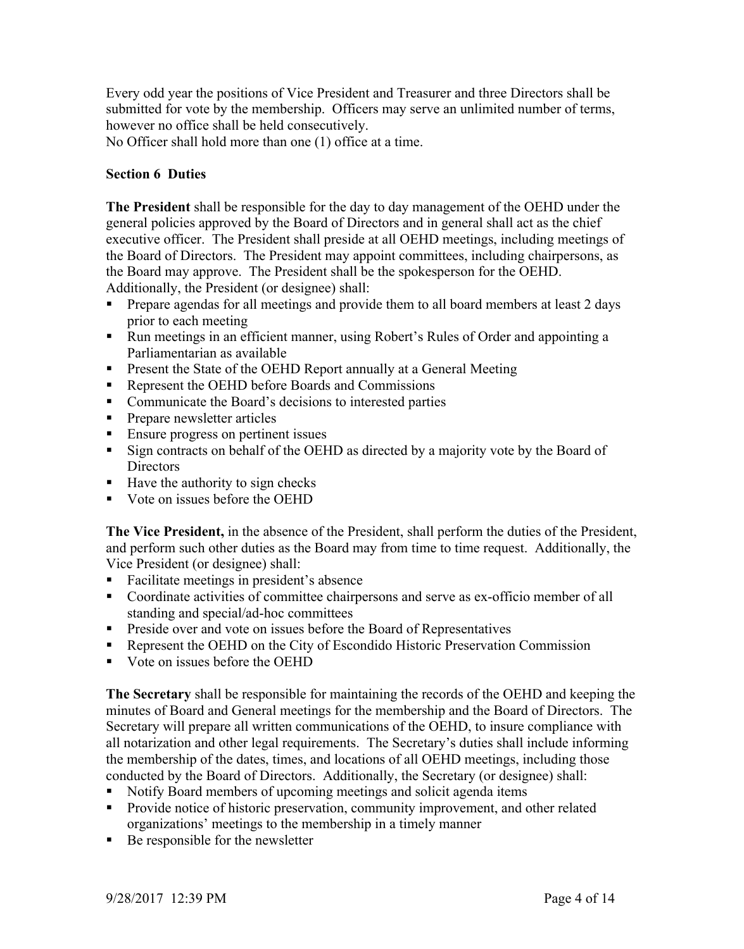Every odd year the positions of Vice President and Treasurer and three Directors shall be submitted for vote by the membership. Officers may serve an unlimited number of terms, however no office shall be held consecutively.

No Officer shall hold more than one (1) office at a time.

# **Section 6 Duties**

**The President** shall be responsible for the day to day management of the OEHD under the general policies approved by the Board of Directors and in general shall act as the chief executive officer. The President shall preside at all OEHD meetings, including meetings of the Board of Directors. The President may appoint committees, including chairpersons, as the Board may approve. The President shall be the spokesperson for the OEHD. Additionally, the President (or designee) shall:

- ! Prepare agendas for all meetings and provide them to all board members at least 2 days prior to each meeting
- ! Run meetings in an efficient manner, using Robert's Rules of Order and appointing a Parliamentarian as available
- ! Present the State of the OEHD Report annually at a General Meeting
- ! Represent the OEHD before Boards and Commissions
- ! Communicate the Board's decisions to interested parties
- **Prepare newsletter articles**
- **Ensure progress on pertinent issues**
- ! Sign contracts on behalf of the OEHD as directed by a majority vote by the Board of **Directors**
- Have the authority to sign checks
- Vote on issues before the OEHD

**The Vice President,** in the absence of the President, shall perform the duties of the President, and perform such other duties as the Board may from time to time request. Additionally, the Vice President (or designee) shall:

- ! Facilitate meetings in president's absence
- ! Coordinate activities of committee chairpersons and serve as ex-officio member of all standing and special/ad-hoc committees
- ! Preside over and vote on issues before the Board of Representatives
- ! Represent the OEHD on the City of Escondido Historic Preservation Commission
- ! Vote on issues before the OEHD

**The Secretary** shall be responsible for maintaining the records of the OEHD and keeping the minutes of Board and General meetings for the membership and the Board of Directors. The Secretary will prepare all written communications of the OEHD, to insure compliance with all notarization and other legal requirements. The Secretary's duties shall include informing the membership of the dates, times, and locations of all OEHD meetings, including those conducted by the Board of Directors. Additionally, the Secretary (or designee) shall:

- ! Notify Board members of upcoming meetings and solicit agenda items
- ! Provide notice of historic preservation, community improvement, and other related organizations' meetings to the membership in a timely manner
- Be responsible for the newsletter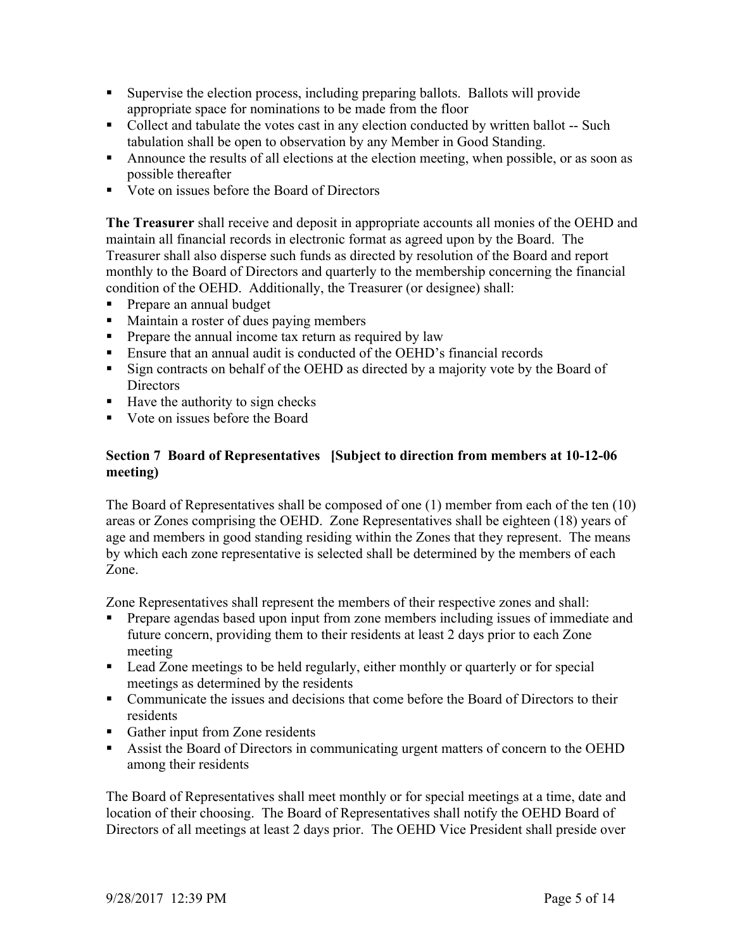- ! Supervise the election process, including preparing ballots. Ballots will provide appropriate space for nominations to be made from the floor
- Collect and tabulate the votes cast in any election conducted by written ballot -- Such tabulation shall be open to observation by any Member in Good Standing.
- ! Announce the results of all elections at the election meeting, when possible, or as soon as possible thereafter
- ! Vote on issues before the Board of Directors

**The Treasurer** shall receive and deposit in appropriate accounts all monies of the OEHD and maintain all financial records in electronic format as agreed upon by the Board. The Treasurer shall also disperse such funds as directed by resolution of the Board and report monthly to the Board of Directors and quarterly to the membership concerning the financial condition of the OEHD. Additionally, the Treasurer (or designee) shall:

- ! Prepare an annual budget
- ! Maintain a roster of dues paying members
- ! Prepare the annual income tax return as required by law
- ! Ensure that an annual audit is conducted of the OEHD's financial records
- ! Sign contracts on behalf of the OEHD as directed by a majority vote by the Board of **Directors**
- ! Have the authority to sign checks
- ! Vote on issues before the Board

## **Section 7 Board of Representatives [Subject to direction from members at 10-12-06 meeting)**

The Board of Representatives shall be composed of one (1) member from each of the ten (10) areas or Zones comprising the OEHD. Zone Representatives shall be eighteen (18) years of age and members in good standing residing within the Zones that they represent. The means by which each zone representative is selected shall be determined by the members of each Zone.

Zone Representatives shall represent the members of their respective zones and shall:

- ! Prepare agendas based upon input from zone members including issues of immediate and future concern, providing them to their residents at least 2 days prior to each Zone meeting
- ! Lead Zone meetings to be held regularly, either monthly or quarterly or for special meetings as determined by the residents
- Communicate the issues and decisions that come before the Board of Directors to their residents
- Gather input from Zone residents
- ! Assist the Board of Directors in communicating urgent matters of concern to the OEHD among their residents

The Board of Representatives shall meet monthly or for special meetings at a time, date and location of their choosing. The Board of Representatives shall notify the OEHD Board of Directors of all meetings at least 2 days prior. The OEHD Vice President shall preside over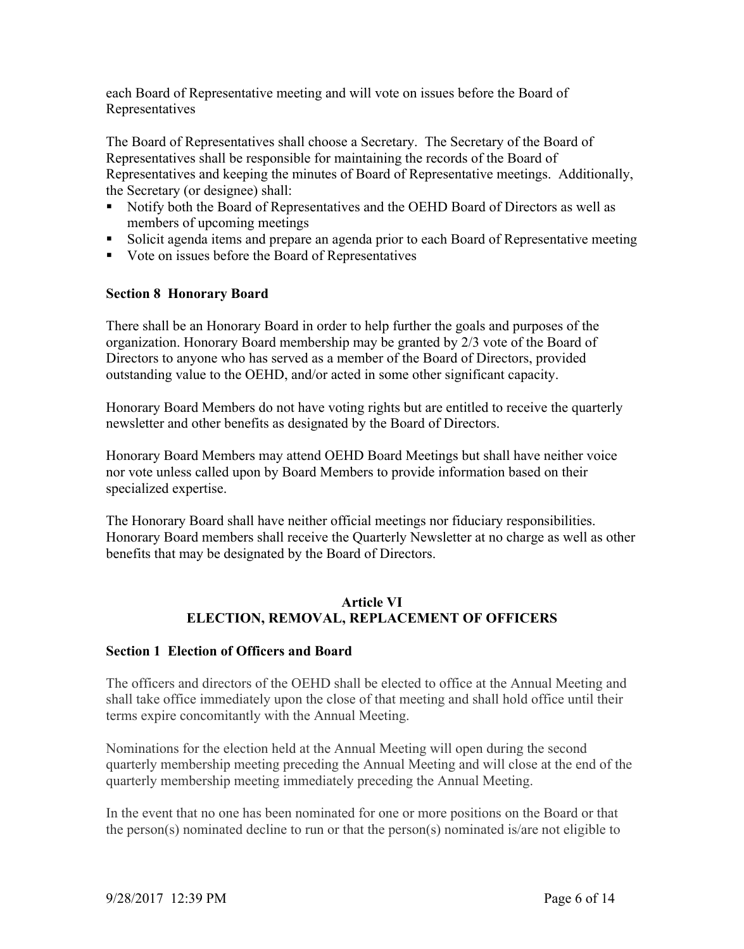each Board of Representative meeting and will vote on issues before the Board of Representatives

The Board of Representatives shall choose a Secretary. The Secretary of the Board of Representatives shall be responsible for maintaining the records of the Board of Representatives and keeping the minutes of Board of Representative meetings. Additionally, the Secretary (or designee) shall:

- ! Notify both the Board of Representatives and the OEHD Board of Directors as well as members of upcoming meetings
- ! Solicit agenda items and prepare an agenda prior to each Board of Representative meeting
- ! Vote on issues before the Board of Representatives

# **Section 8 Honorary Board**

There shall be an Honorary Board in order to help further the goals and purposes of the organization. Honorary Board membership may be granted by 2/3 vote of the Board of Directors to anyone who has served as a member of the Board of Directors, provided outstanding value to the OEHD, and/or acted in some other significant capacity.

Honorary Board Members do not have voting rights but are entitled to receive the quarterly newsletter and other benefits as designated by the Board of Directors.

Honorary Board Members may attend OEHD Board Meetings but shall have neither voice nor vote unless called upon by Board Members to provide information based on their specialized expertise.

The Honorary Board shall have neither official meetings nor fiduciary responsibilities. Honorary Board members shall receive the Quarterly Newsletter at no charge as well as other benefits that may be designated by the Board of Directors.

# **Article VI ELECTION, REMOVAL, REPLACEMENT OF OFFICERS**

# **Section 1 Election of Officers and Board**

The officers and directors of the OEHD shall be elected to office at the Annual Meeting and shall take office immediately upon the close of that meeting and shall hold office until their terms expire concomitantly with the Annual Meeting.

Nominations for the election held at the Annual Meeting will open during the second quarterly membership meeting preceding the Annual Meeting and will close at the end of the quarterly membership meeting immediately preceding the Annual Meeting.

In the event that no one has been nominated for one or more positions on the Board or that the person(s) nominated decline to run or that the person(s) nominated is/are not eligible to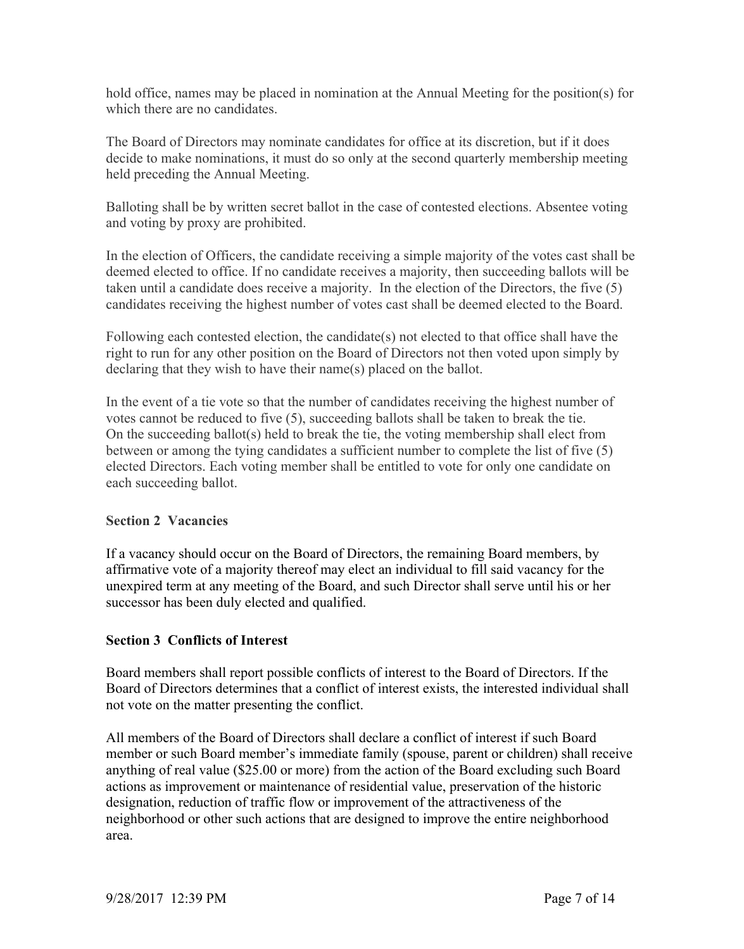hold office, names may be placed in nomination at the Annual Meeting for the position(s) for which there are no candidates.

The Board of Directors may nominate candidates for office at its discretion, but if it does decide to make nominations, it must do so only at the second quarterly membership meeting held preceding the Annual Meeting.

Balloting shall be by written secret ballot in the case of contested elections. Absentee voting and voting by proxy are prohibited.

In the election of Officers, the candidate receiving a simple majority of the votes cast shall be deemed elected to office. If no candidate receives a majority, then succeeding ballots will be taken until a candidate does receive a majority. In the election of the Directors, the five (5) candidates receiving the highest number of votes cast shall be deemed elected to the Board.

Following each contested election, the candidate(s) not elected to that office shall have the right to run for any other position on the Board of Directors not then voted upon simply by declaring that they wish to have their name(s) placed on the ballot.

In the event of a tie vote so that the number of candidates receiving the highest number of votes cannot be reduced to five (5), succeeding ballots shall be taken to break the tie. On the succeeding ballot(s) held to break the tie, the voting membership shall elect from between or among the tying candidates a sufficient number to complete the list of five (5) elected Directors. Each voting member shall be entitled to vote for only one candidate on each succeeding ballot.

# **Section 2 Vacancies**

If a vacancy should occur on the Board of Directors, the remaining Board members, by affirmative vote of a majority thereof may elect an individual to fill said vacancy for the unexpired term at any meeting of the Board, and such Director shall serve until his or her successor has been duly elected and qualified.

# **Section 3 Conflicts of Interest**

Board members shall report possible conflicts of interest to the Board of Directors. If the Board of Directors determines that a conflict of interest exists, the interested individual shall not vote on the matter presenting the conflict.

All members of the Board of Directors shall declare a conflict of interest if such Board member or such Board member's immediate family (spouse, parent or children) shall receive anything of real value (\$25.00 or more) from the action of the Board excluding such Board actions as improvement or maintenance of residential value, preservation of the historic designation, reduction of traffic flow or improvement of the attractiveness of the neighborhood or other such actions that are designed to improve the entire neighborhood area.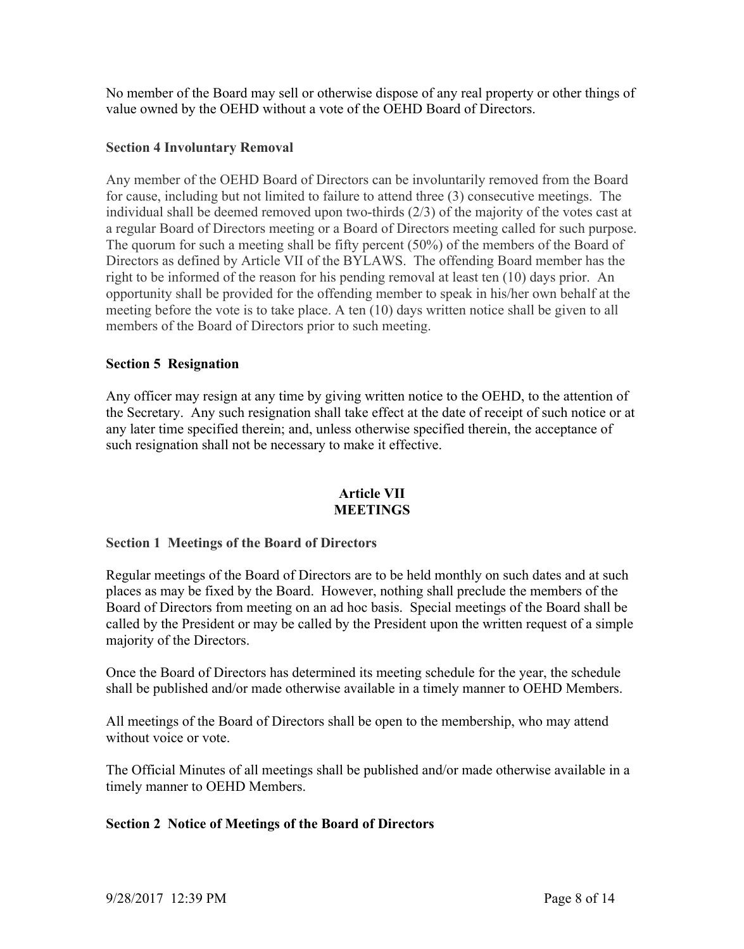No member of the Board may sell or otherwise dispose of any real property or other things of value owned by the OEHD without a vote of the OEHD Board of Directors.

## **Section 4 Involuntary Removal**

Any member of the OEHD Board of Directors can be involuntarily removed from the Board for cause, including but not limited to failure to attend three (3) consecutive meetings. The individual shall be deemed removed upon two-thirds (2/3) of the majority of the votes cast at a regular Board of Directors meeting or a Board of Directors meeting called for such purpose. The quorum for such a meeting shall be fifty percent (50%) of the members of the Board of Directors as defined by Article VII of the BYLAWS. The offending Board member has the right to be informed of the reason for his pending removal at least ten (10) days prior. An opportunity shall be provided for the offending member to speak in his/her own behalf at the meeting before the vote is to take place. A ten (10) days written notice shall be given to all members of the Board of Directors prior to such meeting.

## **Section 5 Resignation**

Any officer may resign at any time by giving written notice to the OEHD, to the attention of the Secretary. Any such resignation shall take effect at the date of receipt of such notice or at any later time specified therein; and, unless otherwise specified therein, the acceptance of such resignation shall not be necessary to make it effective.

#### **Article VII MEETINGS**

#### **Section 1 Meetings of the Board of Directors**

Regular meetings of the Board of Directors are to be held monthly on such dates and at such places as may be fixed by the Board. However, nothing shall preclude the members of the Board of Directors from meeting on an ad hoc basis. Special meetings of the Board shall be called by the President or may be called by the President upon the written request of a simple majority of the Directors.

Once the Board of Directors has determined its meeting schedule for the year, the schedule shall be published and/or made otherwise available in a timely manner to OEHD Members.

All meetings of the Board of Directors shall be open to the membership, who may attend without voice or vote.

The Official Minutes of all meetings shall be published and/or made otherwise available in a timely manner to OEHD Members.

#### **Section 2 Notice of Meetings of the Board of Directors**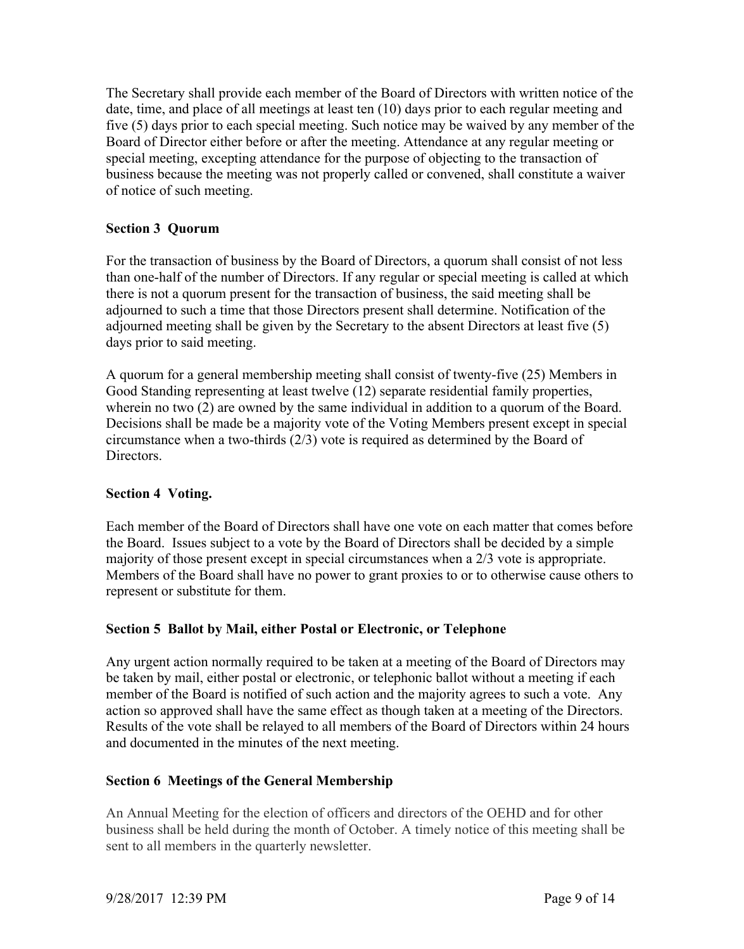The Secretary shall provide each member of the Board of Directors with written notice of the date, time, and place of all meetings at least ten (10) days prior to each regular meeting and five (5) days prior to each special meeting. Such notice may be waived by any member of the Board of Director either before or after the meeting. Attendance at any regular meeting or special meeting, excepting attendance for the purpose of objecting to the transaction of business because the meeting was not properly called or convened, shall constitute a waiver of notice of such meeting.

# **Section 3 Quorum**

For the transaction of business by the Board of Directors, a quorum shall consist of not less than one-half of the number of Directors. If any regular or special meeting is called at which there is not a quorum present for the transaction of business, the said meeting shall be adjourned to such a time that those Directors present shall determine. Notification of the adjourned meeting shall be given by the Secretary to the absent Directors at least five (5) days prior to said meeting.

A quorum for a general membership meeting shall consist of twenty-five (25) Members in Good Standing representing at least twelve (12) separate residential family properties, wherein no two (2) are owned by the same individual in addition to a quorum of the Board. Decisions shall be made be a majority vote of the Voting Members present except in special circumstance when a two-thirds (2/3) vote is required as determined by the Board of Directors.

# **Section 4 Voting.**

Each member of the Board of Directors shall have one vote on each matter that comes before the Board. Issues subject to a vote by the Board of Directors shall be decided by a simple majority of those present except in special circumstances when a 2/3 vote is appropriate. Members of the Board shall have no power to grant proxies to or to otherwise cause others to represent or substitute for them.

#### **Section 5 Ballot by Mail, either Postal or Electronic, or Telephone**

Any urgent action normally required to be taken at a meeting of the Board of Directors may be taken by mail, either postal or electronic, or telephonic ballot without a meeting if each member of the Board is notified of such action and the majority agrees to such a vote. Any action so approved shall have the same effect as though taken at a meeting of the Directors. Results of the vote shall be relayed to all members of the Board of Directors within 24 hours and documented in the minutes of the next meeting.

# **Section 6 Meetings of the General Membership**

An Annual Meeting for the election of officers and directors of the OEHD and for other business shall be held during the month of October. A timely notice of this meeting shall be sent to all members in the quarterly newsletter.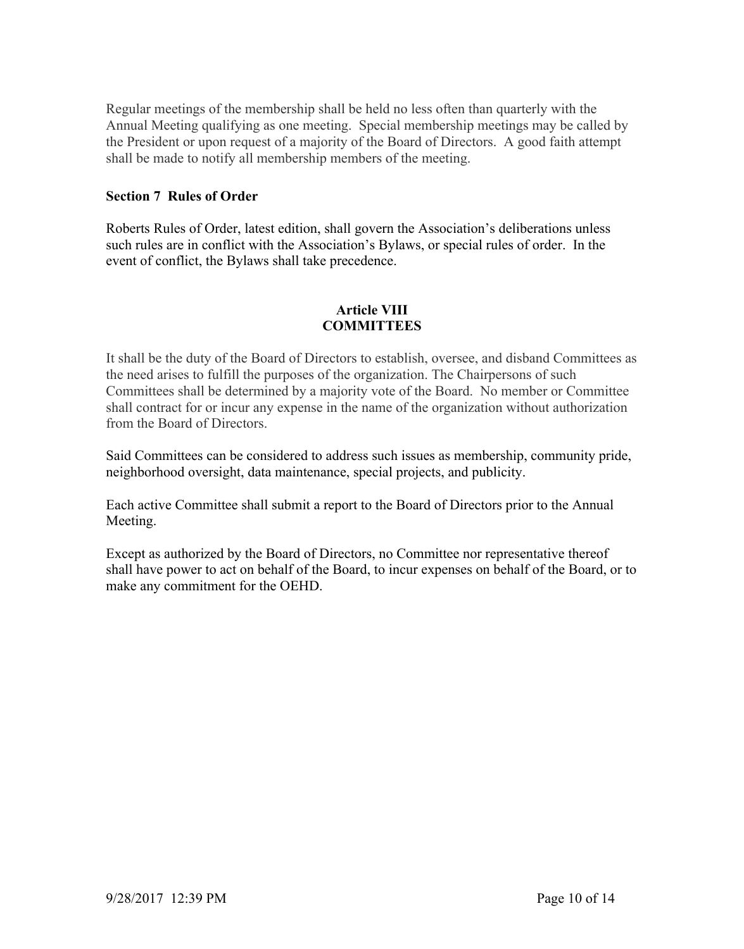Regular meetings of the membership shall be held no less often than quarterly with the Annual Meeting qualifying as one meeting. Special membership meetings may be called by the President or upon request of a majority of the Board of Directors. A good faith attempt shall be made to notify all membership members of the meeting.

#### **Section 7 Rules of Order**

Roberts Rules of Order, latest edition, shall govern the Association's deliberations unless such rules are in conflict with the Association's Bylaws, or special rules of order. In the event of conflict, the Bylaws shall take precedence.

## **Article VIII COMMITTEES**

It shall be the duty of the Board of Directors to establish, oversee, and disband Committees as the need arises to fulfill the purposes of the organization. The Chairpersons of such Committees shall be determined by a majority vote of the Board. No member or Committee shall contract for or incur any expense in the name of the organization without authorization from the Board of Directors.

Said Committees can be considered to address such issues as membership, community pride, neighborhood oversight, data maintenance, special projects, and publicity.

Each active Committee shall submit a report to the Board of Directors prior to the Annual Meeting.

Except as authorized by the Board of Directors, no Committee nor representative thereof shall have power to act on behalf of the Board, to incur expenses on behalf of the Board, or to make any commitment for the OEHD.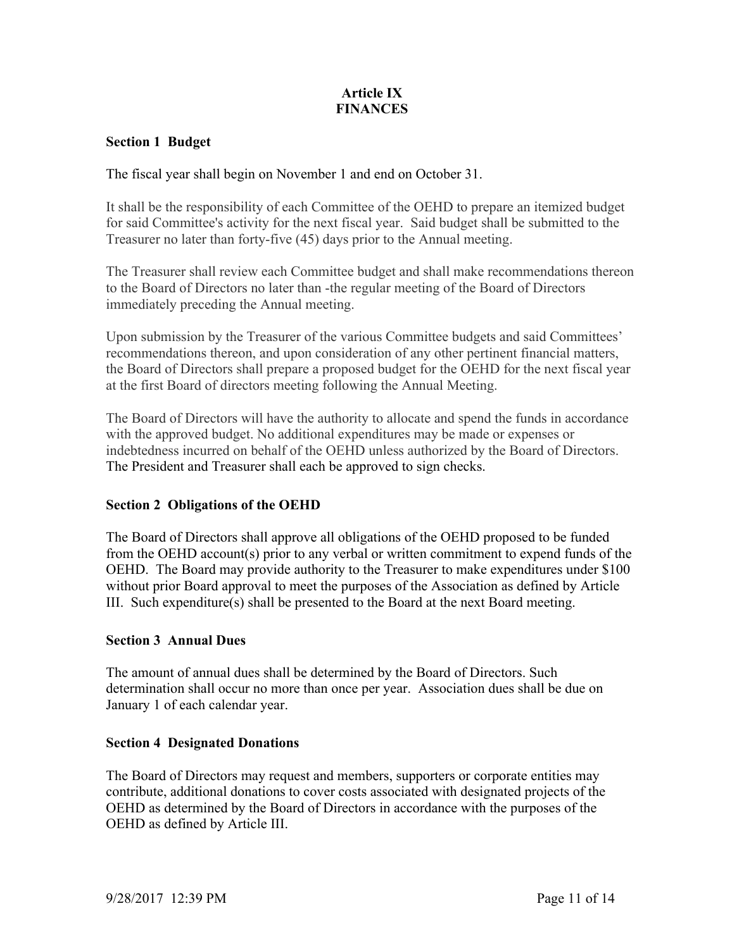# **Article IX FINANCES**

## **Section 1 Budget**

The fiscal year shall begin on November 1 and end on October 31.

It shall be the responsibility of each Committee of the OEHD to prepare an itemized budget for said Committee's activity for the next fiscal year. Said budget shall be submitted to the Treasurer no later than forty-five (45) days prior to the Annual meeting.

The Treasurer shall review each Committee budget and shall make recommendations thereon to the Board of Directors no later than -the regular meeting of the Board of Directors immediately preceding the Annual meeting.

Upon submission by the Treasurer of the various Committee budgets and said Committees' recommendations thereon, and upon consideration of any other pertinent financial matters, the Board of Directors shall prepare a proposed budget for the OEHD for the next fiscal year at the first Board of directors meeting following the Annual Meeting.

The Board of Directors will have the authority to allocate and spend the funds in accordance with the approved budget. No additional expenditures may be made or expenses or indebtedness incurred on behalf of the OEHD unless authorized by the Board of Directors. The President and Treasurer shall each be approved to sign checks.

#### **Section 2 Obligations of the OEHD**

The Board of Directors shall approve all obligations of the OEHD proposed to be funded from the OEHD account(s) prior to any verbal or written commitment to expend funds of the OEHD. The Board may provide authority to the Treasurer to make expenditures under \$100 without prior Board approval to meet the purposes of the Association as defined by Article III. Such expenditure(s) shall be presented to the Board at the next Board meeting.

#### **Section 3 Annual Dues**

The amount of annual dues shall be determined by the Board of Directors. Such determination shall occur no more than once per year. Association dues shall be due on January 1 of each calendar year.

#### **Section 4 Designated Donations**

The Board of Directors may request and members, supporters or corporate entities may contribute, additional donations to cover costs associated with designated projects of the OEHD as determined by the Board of Directors in accordance with the purposes of the OEHD as defined by Article III.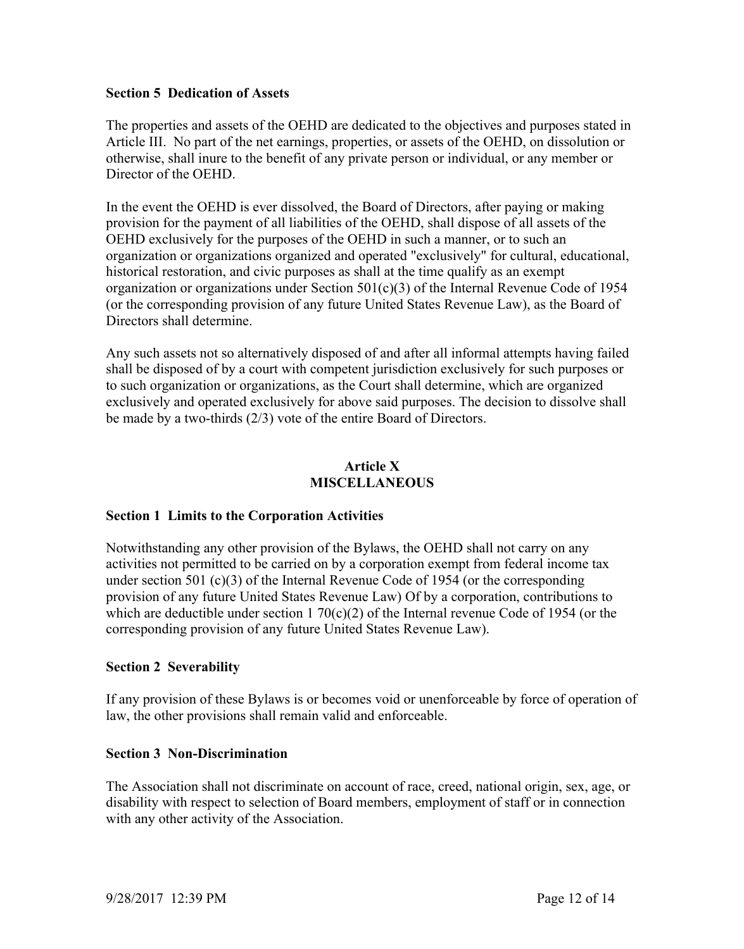#### **Section 5 Dedication of Assets**

The properties and assets of the OEHD are dedicated to the objectives and purposes stated in Article III. No part of the net earnings, properties, or assets of the OEHD, on dissolution or otherwise, shall inure to the benefit of any private person or individual, or any member or Director of the OEHD.

In the event the OEHD is ever dissolved, the Board of Directors, after paying or making provision for the payment of all liabilities of the OEHD, shall dispose of all assets of the OEHD exclusively for the purposes of the OEHD in such a manner, or to such an organization or organizations organized and operated "exclusively" for cultural, educational, historical restoration, and civic purposes as shall at the time qualify as an exempt organization or organizations under Section 501(c)(3) of the Internal Revenue Code of 1954 (or the corresponding provision of any future United States Revenue Law), as the Board of Directors shall determine.

Any such assets not so alternatively disposed of and after all informal attempts having failed shall be disposed of by a court with competent jurisdiction exclusively for such purposes or to such organization or organizations, as the Court shall determine, which are organized exclusively and operated exclusively for above said purposes. The decision to dissolve shall be made by a two-thirds (2/3) vote of the entire Board of Directors.

#### **Article X MISCELLANEOUS**

#### **Section 1 Limits to the Corporation Activities**

Notwithstanding any other provision of the Bylaws, the OEHD shall not carry on any activities not permitted to be carried on by a corporation exempt from federal income tax under section 501 (c)(3) of the Internal Revenue Code of 1954 (or the corresponding provision of any future United States Revenue Law) Of by a corporation, contributions to which are deductible under section 1 70(c)(2) of the Internal revenue Code of 1954 (or the corresponding provision of any future United States Revenue Law).

#### **Section 2 Severability**

If any provision of these Bylaws is or becomes void or unenforceable by force of operation of law, the other provisions shall remain valid and enforceable.

#### **Section 3 Non-Discrimination**

The Association shall not discriminate on account of race, creed, national origin, sex, age, or disability with respect to selection of Board members, employment of staff or in connection with any other activity of the Association.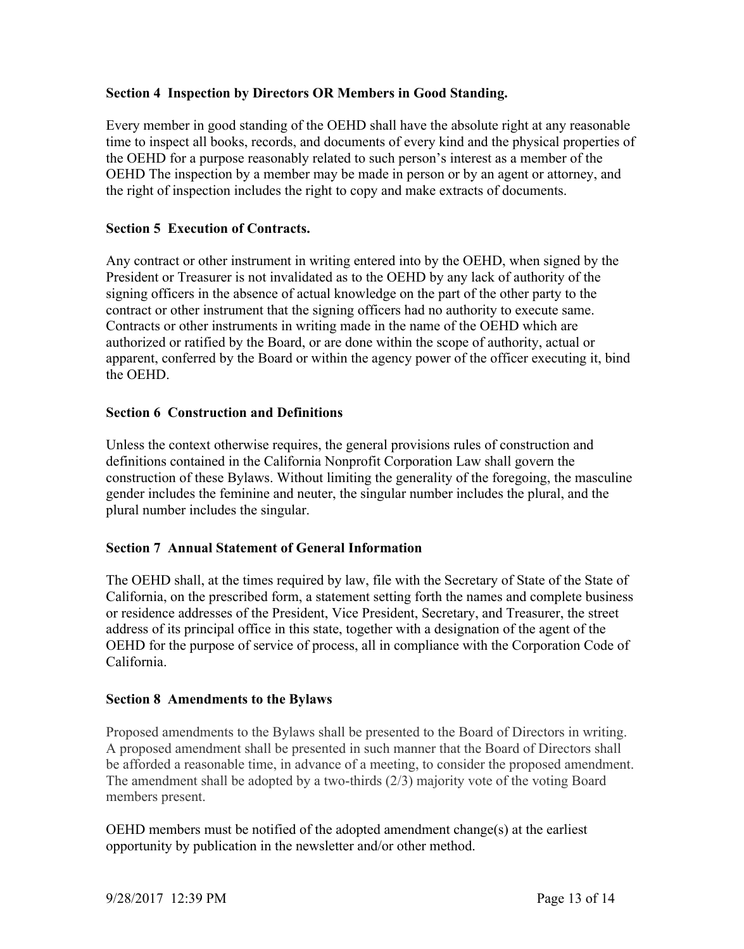## **Section 4 Inspection by Directors OR Members in Good Standing.**

Every member in good standing of the OEHD shall have the absolute right at any reasonable time to inspect all books, records, and documents of every kind and the physical properties of the OEHD for a purpose reasonably related to such person's interest as a member of the OEHD The inspection by a member may be made in person or by an agent or attorney, and the right of inspection includes the right to copy and make extracts of documents.

## **Section 5 Execution of Contracts.**

Any contract or other instrument in writing entered into by the OEHD, when signed by the President or Treasurer is not invalidated as to the OEHD by any lack of authority of the signing officers in the absence of actual knowledge on the part of the other party to the contract or other instrument that the signing officers had no authority to execute same. Contracts or other instruments in writing made in the name of the OEHD which are authorized or ratified by the Board, or are done within the scope of authority, actual or apparent, conferred by the Board or within the agency power of the officer executing it, bind the OEHD.

## **Section 6 Construction and Definitions**

Unless the context otherwise requires, the general provisions rules of construction and definitions contained in the California Nonprofit Corporation Law shall govern the construction of these Bylaws. Without limiting the generality of the foregoing, the masculine gender includes the feminine and neuter, the singular number includes the plural, and the plural number includes the singular.

#### **Section 7 Annual Statement of General Information**

The OEHD shall, at the times required by law, file with the Secretary of State of the State of California, on the prescribed form, a statement setting forth the names and complete business or residence addresses of the President, Vice President, Secretary, and Treasurer, the street address of its principal office in this state, together with a designation of the agent of the OEHD for the purpose of service of process, all in compliance with the Corporation Code of California.

#### **Section 8 Amendments to the Bylaws**

Proposed amendments to the Bylaws shall be presented to the Board of Directors in writing. A proposed amendment shall be presented in such manner that the Board of Directors shall be afforded a reasonable time, in advance of a meeting, to consider the proposed amendment. The amendment shall be adopted by a two-thirds (2/3) majority vote of the voting Board members present.

OEHD members must be notified of the adopted amendment change(s) at the earliest opportunity by publication in the newsletter and/or other method.